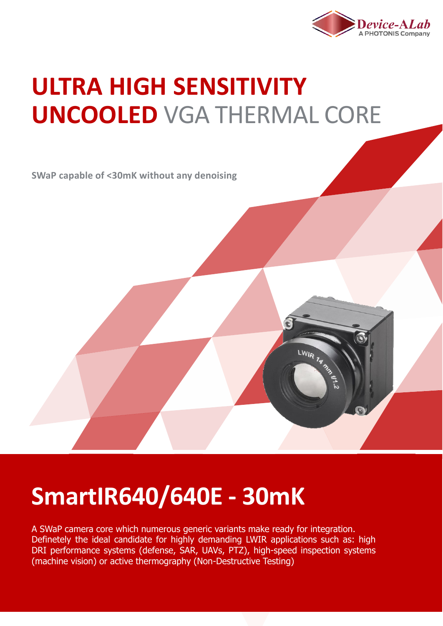

LWIR TA SASALLE

## **ULTRA HIGH SENSITIVITY UNCOOLED** VGA THERMAL CORE

**SWaP capable of <30mK without any denoising**

## **SmartIR640/640E - 30mK**

A SWaP camera core which numerous generic variants make ready for integration. Definetely the ideal candidate for highly demanding LWIR applications such as: high DRI performance systems (defense, SAR, UAVs, PTZ), high-speed inspection systems (machine vision) or active thermography (Non-Destructive Testing)